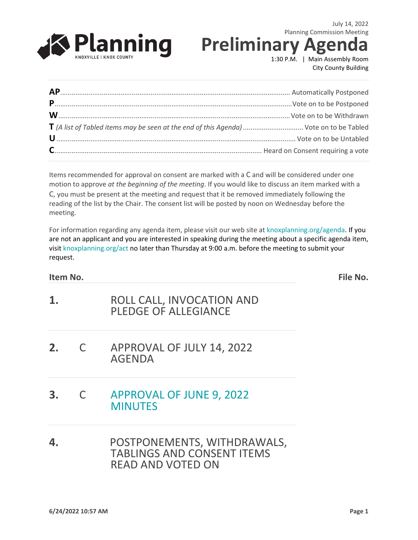

**Preliminary A** 

1:30 P.M. | Main Assembly Room City County Building

| T (A list of Tabled items may be seen at the end of this Agenda)  Vote on to be Tabled |  |
|----------------------------------------------------------------------------------------|--|
|                                                                                        |  |
|                                                                                        |  |

Items recommended for approval on consent are marked with a C and will be considered under one motion to approve *at the beginning of the meeting*. If you would like to discuss an item marked with a C, you must be present at the meeting and request that it be removed immediately following the reading of the list by the Chair. The consent list will be posted by noon on Wednesday before the meeting.

For information regarding any agenda item, please visit our web site at knoxplanning.org/agenda. If you are not an applicant and you are interested in speaking during the meeting about a specific agenda item, visit knoxplanning.org/act no later than Thursday at 9:00 a.m. before the meeting to submit your request.

#### **Item No. File No.**

- **1.** ROLL CALL, INVOCATION AND PLEDGE OF ALLEGIANCE
- **2.** C APPROVAL OF JULY 14, 2022 AGENDA
- **3.** C [APPROVAL OF](https://archive.knoxmpc.org/about/minutes/jun22min.pdf) JUNE 9, 2022 **[MINUTES](https://archive.knoxmpc.org/about/minutes/jun22min.pdf)**
- **4.** POSTPONEMENTS, WITHDRAWALS, TABLINGS AND CONSENT ITEMS READ AND VOTED ON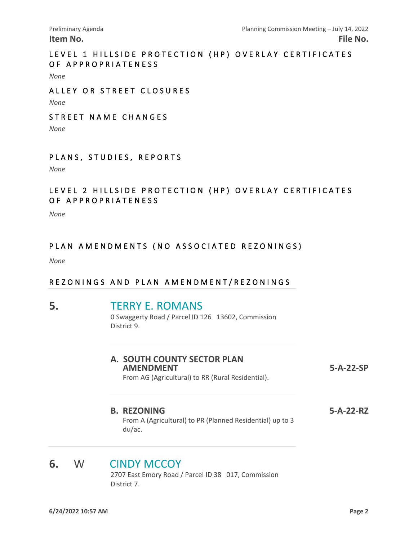#### LEVEL 1 HILLSIDE PROTECTION (HP) OVERLAY CERTIFICATES OF APPROPRIATENESS

*None*

#### ALLEY OR STREET CLOSURES

*None*

#### STREET NAME CHANGES

*None*

#### PLANS, STUDIES, REPORTS

*None*

#### LEVEL 2 HILLSIDE PROTECTION (HP) OVERLAY CERTIFICATES OF APPROPRIATENESS

*None*

#### PLAN AMENDMENTS (NO ASSOCIATED REZONINGS)

*None*

#### REZONINGS AND PLAN AMENDMENT/REZONINGS

# **5.** [TERRY E. ROMANS](https://knoxplanning.org/cases/?filter=5-A-22-RZ)<br>
0 Swaggerty Road / Parcel ID 126 13602, Commission

District 9.

| A. SOUTH COUNTY SECTOR PLAN<br><b>AMENDMENT</b><br>From AG (Agricultural) to RR (Rural Residential). | $5-A-22-SP$ |
|------------------------------------------------------------------------------------------------------|-------------|
| <b>B. REZONING</b>                                                                                   | 5-A-22-RZ   |

From A (Agricultural) to PR (Planned Residential) up to 3 du/ac.

#### **6.** W [CINDY MCCOY](https://knoxplanning.org/cases/?filter=5-D-22-RZ)

 2707 East Emory Road / Parcel ID 38 017, Commission District 7.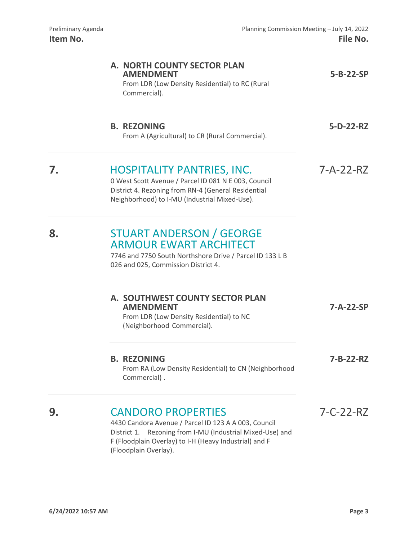|    | A. NORTH COUNTY SECTOR PLAN<br><b>AMENDMENT</b><br>From LDR (Low Density Residential) to RC (Rural<br>Commercial).                                                                                                                   | $5 - B - 22 - SP$ |
|----|--------------------------------------------------------------------------------------------------------------------------------------------------------------------------------------------------------------------------------------|-------------------|
|    | <b>B. REZONING</b><br>From A (Agricultural) to CR (Rural Commercial).                                                                                                                                                                | 5-D-22-RZ         |
| 7. | <b>HOSPITALITY PANTRIES, INC.</b><br>0 West Scott Avenue / Parcel ID 081 N E 003, Council<br>District 4. Rezoning from RN-4 (General Residential<br>Neighborhood) to I-MU (Industrial Mixed-Use).                                    | $7 - A - 22 - RZ$ |
| 8. | <b>STUART ANDERSON / GEORGE</b><br><b>ARMOUR EWART ARCHITECT</b><br>7746 and 7750 South Northshore Drive / Parcel ID 133 L B<br>026 and 025, Commission District 4.                                                                  |                   |
|    | A. SOUTHWEST COUNTY SECTOR PLAN<br><b>AMENDMENT</b><br>From LDR (Low Density Residential) to NC<br>(Neighborhood Commercial).                                                                                                        | 7-A-22-SP         |
|    | <b>B. REZONING</b><br>From RA (Low Density Residential) to CN (Neighborhood<br>Commercial).                                                                                                                                          | 7-B-22-RZ         |
| 9. | <b>CANDORO PROPERTIES</b><br>4430 Candora Avenue / Parcel ID 123 A A 003, Council<br>Rezoning from I-MU (Industrial Mixed-Use) and<br>District 1.<br>F (Floodplain Overlay) to I-H (Heavy Industrial) and F<br>(Floodplain Overlay). | $7 - C - 22 - RZ$ |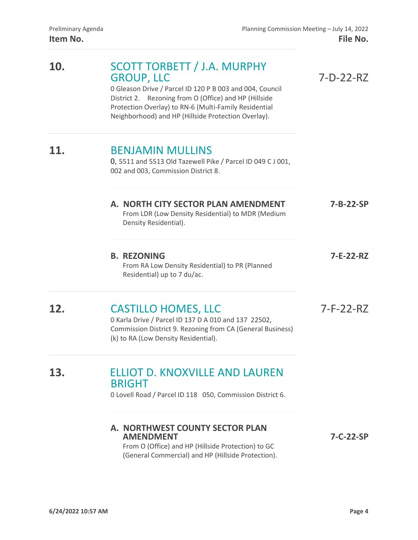| 10. | <b>SCOTT TORBETT / J.A. MURPHY</b><br><b>GROUP, LLC</b><br>0 Gleason Drive / Parcel ID 120 P B 003 and 004, Council<br>District 2. Rezoning from O (Office) and HP (Hillside<br>Protection Overlay) to RN-6 (Multi-Family Residential<br>Neighborhood) and HP (Hillside Protection Overlay). | $7-D-22-RZ$       |
|-----|----------------------------------------------------------------------------------------------------------------------------------------------------------------------------------------------------------------------------------------------------------------------------------------------|-------------------|
|     | <b>BENJAMIN MULLINS</b><br>0, 5511 and 5513 Old Tazewell Pike / Parcel ID 049 C J 001,<br>002 and 003, Commission District 8.                                                                                                                                                                |                   |
|     | A. NORTH CITY SECTOR PLAN AMENDMENT<br>From LDR (Low Density Residential) to MDR (Medium<br>Density Residential).                                                                                                                                                                            | 7-B-22-SP         |
|     | <b>B. REZONING</b><br>From RA Low Density Residential) to PR (Planned<br>Residential) up to 7 du/ac.                                                                                                                                                                                         | 7-E-22-RZ         |
| 12. | <b>CASTILLO HOMES, LLC</b><br>0 Karla Drive / Parcel ID 137 D A 010 and 137 22502,<br>Commission District 9. Rezoning from CA (General Business)<br>(k) to RA (Low Density Residential).                                                                                                     | $7-F-22-RZ$       |
| 13. | <b>ELLIOT D. KNOXVILLE AND LAUREN</b><br><b>BRIGHT</b><br>0 Lovell Road / Parcel ID 118 050, Commission District 6.                                                                                                                                                                          |                   |
|     | A. NORTHWEST COUNTY SECTOR PLAN<br><b>AMENDMENT</b><br>From O (Office) and HP (Hillside Protection) to GC<br>(General Commercial) and HP (Hillside Protection).                                                                                                                              | $7 - C - 22 - SP$ |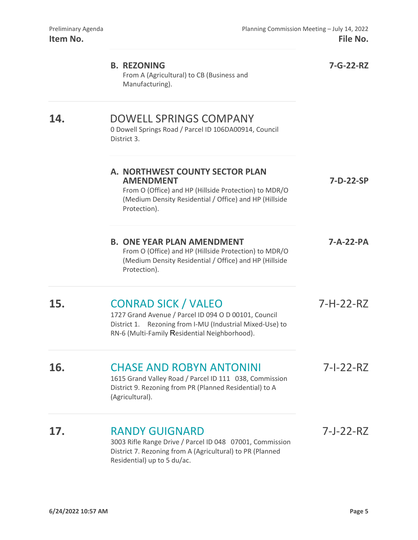|     | <b>B. REZONING</b><br>From A (Agricultural) to CB (Business and<br>Manufacturing).                                                                                                              | 7-G-22-RZ   |
|-----|-------------------------------------------------------------------------------------------------------------------------------------------------------------------------------------------------|-------------|
| 14. | <b>DOWELL SPRINGS COMPANY</b><br>0 Dowell Springs Road / Parcel ID 106DA00914, Council<br>District 3.                                                                                           |             |
|     | A. NORTHWEST COUNTY SECTOR PLAN<br><b>AMENDMENT</b><br>From O (Office) and HP (Hillside Protection) to MDR/O<br>(Medium Density Residential / Office) and HP (Hillside<br>Protection).          | 7-D-22-SP   |
|     | <b>B. ONE YEAR PLAN AMENDMENT</b><br>From O (Office) and HP (Hillside Protection) to MDR/O<br>(Medium Density Residential / Office) and HP (Hillside<br>Protection).                            | 7-A-22-PA   |
| 15. | <b>CONRAD SICK / VALEO</b><br>1727 Grand Avenue / Parcel ID 094 O D 00101, Council<br>District 1. Rezoning from I-MU (Industrial Mixed-Use) to<br>RN-6 (Multi-Family Residential Neighborhood). | $7-H-22-RZ$ |
| 16. | <b>CHASE AND ROBYN ANTONINI</b><br>1615 Grand Valley Road / Parcel ID 111 038, Commission<br>District 9. Rezoning from PR (Planned Residential) to A<br>(Agricultural).                         | 7-1-22-RZ   |
| 17. | <b>RANDY GUIGNARD</b><br>3003 Rifle Range Drive / Parcel ID 048 07001, Commission<br>District 7. Rezoning from A (Agricultural) to PR (Planned<br>Residential) up to 5 du/ac.                   | 7-J-22-RZ   |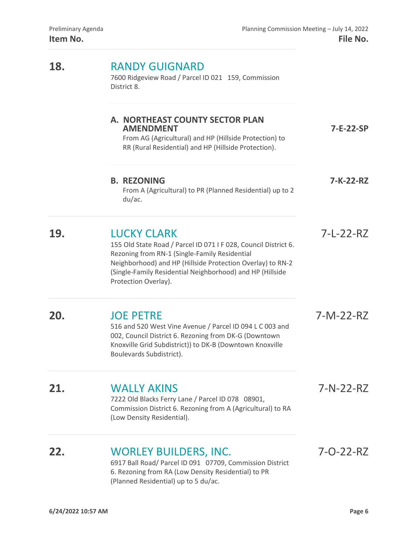| 18. | <b>RANDY GUIGNARD</b><br>7600 Ridgeview Road / Parcel ID 021 159, Commission<br>District 8.                                                                                                                                                                                               |           |
|-----|-------------------------------------------------------------------------------------------------------------------------------------------------------------------------------------------------------------------------------------------------------------------------------------------|-----------|
|     | A. NORTHEAST COUNTY SECTOR PLAN<br><b>AMENDMENT</b><br>From AG (Agricultural) and HP (Hillside Protection) to<br>RR (Rural Residential) and HP (Hillside Protection).                                                                                                                     | 7-E-22-SP |
|     | <b>B. REZONING</b><br>From A (Agricultural) to PR (Planned Residential) up to 2<br>du/ac.                                                                                                                                                                                                 | 7-K-22-RZ |
| 19. | <b>LUCKY CLARK</b><br>155 Old State Road / Parcel ID 071 I F 028, Council District 6.<br>Rezoning from RN-1 (Single-Family Residential<br>Neighborhood) and HP (Hillside Protection Overlay) to RN-2<br>(Single-Family Residential Neighborhood) and HP (Hillside<br>Protection Overlay). | 7-L-22-RZ |
| 20. | <b>JOE PETRE</b><br>516 and 520 West Vine Avenue / Parcel ID 094 L C 003 and<br>002, Council District 6. Rezoning from DK-G (Downtown<br>Knoxville Grid Subdistrict)) to DK-B (Downtown Knoxville<br>Boulevards Subdistrict).                                                             | 7-M-22-RZ |
| 21. | <b>WALLY AKINS</b><br>7222 Old Blacks Ferry Lane / Parcel ID 078 08901,                                                                                                                                                                                                                   | 7-N-22-RZ |

Commission District 6. Rezoning from A (Agricultural) to RA (Low Density Residential).

# **22.** [WORLEY BUILDERS, INC.](https://knoxplanning.org/cases/?filter=7-O-22-RZ) **7-O-22-RZ**

 6917 Ball Road/ Parcel ID 091 07709, Commission District 6. Rezoning from RA (Low Density Residential) to PR (Planned Residential) up to 5 du/ac.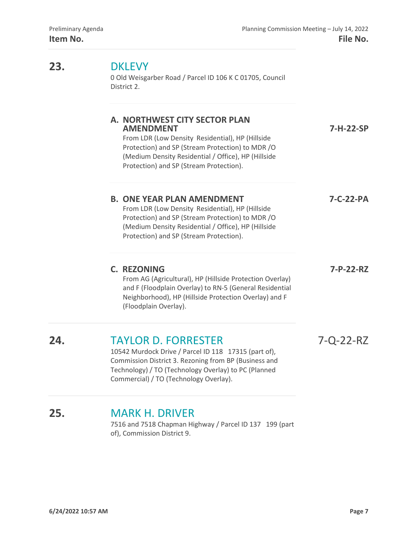**23.** 

| 23. | <b>DKLEVY</b><br>0 Old Weisgarber Road / Parcel ID 106 K C 01705, Council<br>District 2.                                                                                                                                                                   |                        |  |
|-----|------------------------------------------------------------------------------------------------------------------------------------------------------------------------------------------------------------------------------------------------------------|------------------------|--|
|     | A. NORTHWEST CITY SECTOR PLAN<br><b>AMENDMENT</b><br>From LDR (Low Density Residential), HP (Hillside<br>Protection) and SP (Stream Protection) to MDR/O<br>(Medium Density Residential / Office), HP (Hillside<br>Protection) and SP (Stream Protection). | 7-H-22-SP<br>7-C-22-PA |  |
|     | <b>B. ONE YEAR PLAN AMENDMENT</b><br>From LDR (Low Density Residential), HP (Hillside<br>Protection) and SP (Stream Protection) to MDR/O<br>(Medium Density Residential / Office), HP (Hillside<br>Protection) and SP (Stream Protection).                 |                        |  |
|     | <b>C. REZONING</b><br>From AG (Agricultural), HP (Hillside Protection Overlay)<br>and F (Floodplain Overlay) to RN-5 (General Residential<br>Neighborhood), HP (Hillside Protection Overlay) and F<br>(Floodplain Overlay).                                | 7-P-22-RZ              |  |
| 24. | <b>TAYLOR D. FORRESTER</b><br>10542 Murdock Drive / Parcel ID 118 17315 (part of),<br>Commission District 3. Rezoning from BP (Business and<br>Technology) / TO (Technology Overlay) to PC (Planned<br>Commercial) / TO (Technology Overlay).              | 7-Q-22-RZ              |  |

### **25.** [MARK H. DRIVER](https://knoxplanning.org/cases/?filter=7-R-22-RZ)

 7516 and 7518 Chapman Highway / Parcel ID 137 199 (part of), Commission District 9.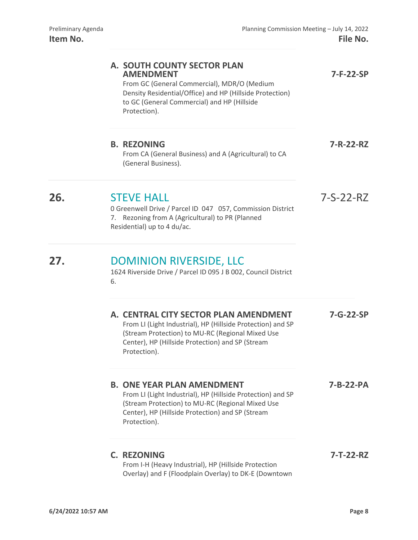|     | A. SOUTH COUNTY SECTOR PLAN<br><b>AMENDMENT</b><br>From GC (General Commercial), MDR/O (Medium<br>Density Residential/Office) and HP (Hillside Protection)<br>to GC (General Commercial) and HP (Hillside<br>Protection).    | 7-F-22-SP   |
|-----|------------------------------------------------------------------------------------------------------------------------------------------------------------------------------------------------------------------------------|-------------|
|     | <b>B. REZONING</b><br>From CA (General Business) and A (Agricultural) to CA<br>(General Business).                                                                                                                           | 7-R-22-RZ   |
| 26. | <b>STEVE HALL</b><br>0 Greenwell Drive / Parcel ID 047 057, Commission District<br>7. Rezoning from A (Agricultural) to PR (Planned<br>Residential) up to 4 du/ac.                                                           | $7-S-22-RZ$ |
| 27. | <b>DOMINION RIVERSIDE, LLC</b><br>1624 Riverside Drive / Parcel ID 095 J B 002, Council District<br>6.                                                                                                                       |             |
|     | A. CENTRAL CITY SECTOR PLAN AMENDMENT<br>From LI (Light Industrial), HP (Hillside Protection) and SP<br>(Stream Protection) to MU-RC (Regional Mixed Use<br>Center), HP (Hillside Protection) and SP (Stream<br>Protection). | 7-G-22-SP   |
|     | <b>B. ONE YEAR PLAN AMENDMENT</b><br>From LI (Light Industrial), HP (Hillside Protection) and SP<br>(Stream Protection) to MU-RC (Regional Mixed Use<br>Center), HP (Hillside Protection) and SP (Stream<br>Protection).     | 7-B-22-PA   |
|     | <b>C. REZONING</b><br>From I-H (Heavy Industrial), HP (Hillside Protection<br>Overlay) and F (Floodplain Overlay) to DK-E (Downtown                                                                                          | 7-T-22-RZ   |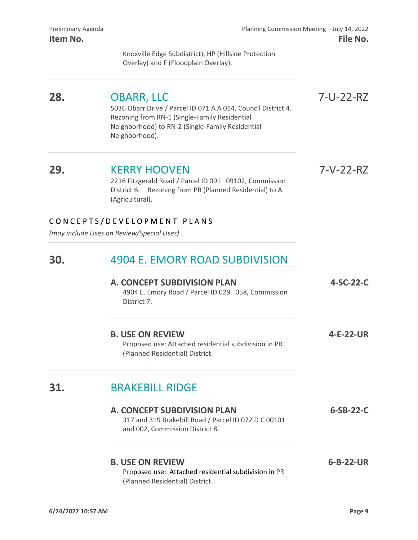Knoxville Edge Subdistrict), HP (Hillside Protection Overlay) and F (Floodplain Overlay).

# **28.** [OBARR, LLC](https://knoxplanning.org/cases/?filter=7-U-22-RZ) 7-U-22-RZ

 5036 Obarr Drive / Parcel ID 071 A A 014, Council District 4. Rezoning from RN-1 (Single-Family Residential Neighborhood) to RN-2 (Single-Family Residential Neighborhood).

#### **29.** [KERRY HOOVEN](https://knoxplanning.org/cases/?filter=7-V-22-RZ) 7-V-22-RZ

 2216 Fitzgerald Road / Parcel ID 091 09102, Commission District 6. Rezoning from PR (Planned Residential) to A (Agricultural).

#### CONCEPTS/DEVELOPMENT PLANS

*(may include Uses on Review/Special Uses)* 

#### **30.** [4904 E. EMORY ROAD SUBDIVISION](https://knoxplanning.org/cases/?filter=4-SC-22-C)

| A. CONCEPT SUBDIVISION PLAN<br>4904 E. Emory Road / Parcel ID 029 058, Commission<br>District 7.                   | $4-SC-22-C$ |
|--------------------------------------------------------------------------------------------------------------------|-------------|
| <b>B. USE ON REVIEW</b><br>Proposed use: Attached residential subdivision in PR<br>(Planned Residential) District. | 4-E-22-UR   |

### **31.** [BRAKEBILL RIDGE](https://knoxplanning.org/cases/?filter=6-SB-22-C)

| A. CONCEPT SUBDIVISION PLAN<br>317 and 319 Brakebill Road / Parcel ID 072 D C 00101<br>and 002, Commission District 8. | $6-SB-22-C$       |
|------------------------------------------------------------------------------------------------------------------------|-------------------|
| <b>B. USE ON REVIEW</b><br>Proposed use: Attached residential subdivision in PR<br>(Planned Residential) District.     | $6 - B - 22 - UR$ |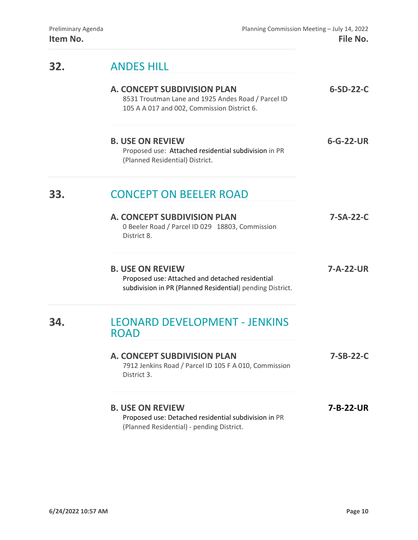### **32.** [ANDES HILL](https://knoxplanning.org/cases/?filter=6-SD-22-C)

#### **A. CONCEPT SUBDIVISION PLAN 6-SD-22-C**

8531 Troutman Lane and 1925 Andes Road / Parcel ID 105 A A 017 and 002, Commission District 6.

#### **B. USE ON REVIEW 6-G-22-UR** Proposed use: Attached residential subdivision in PR

(Planned Residential) District.

### **33.** [CONCEPT ON BEELER ROAD](https://knoxplanning.org/cases/?filter=7-SA-22-C)

| <b>A. CONCEPT SUBDIVISION PLAN</b>                             | 7-SA-22-C |
|----------------------------------------------------------------|-----------|
| 0 Beeler Road / Parcel ID 029 18803, Commission<br>District 8. |           |
|                                                                |           |

**B. USE ON REVIEW 7-A-22-UR** Proposed use: Attached and detached residential subdivision in PR (Planned Residential) pending District.

#### **34.** [LEONARD DEVELOPMENT - JENKINS](https://knoxplanning.org/cases/?filter=7-SB-22-C)  [ROAD](https://knoxplanning.org/cases/?filter=7-SB-22-C)

#### **A. CONCEPT SUBDIVISION PLAN 7-SB-22-C**  7912 Jenkins Road / Parcel ID 105 F A 010, Commission District 3.

#### **B. USE ON REVIEW 7-B-22-UR** Proposed use: Detached residential subdivision in PR (Planned Residential) - pending District.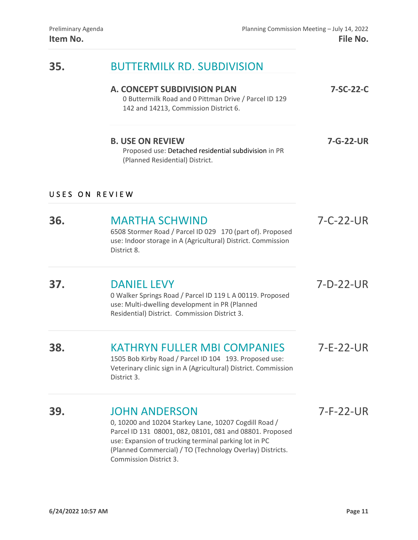### **35.** [BUTTERMILK RD. SUBDIVISION](https://knoxplanning.org/cases/?filter=7-SC-22-C)

#### **A. CONCEPT SUBDIVISION PLAN 7-SC-22-C**

0 Buttermilk Road and 0 Pittman Drive / Parcel ID 129 142 and 14213, Commission District 6.

#### **B. USE ON REVIEW 7-G-22-UR** Proposed use: Detached residential subdivision in PR

(Planned Residential) District.

#### USES ON REVIEW

## **36.** [MARTHA SCHWIND](https://knoxplanning.org/cases/?filter=7-C-22-UR) 7-C-22-UR

 6508 Stormer Road / Parcel ID 029 170 (part of). Proposed use: Indoor storage in A (Agricultural) District. Commission District 8.

### **37.** [DANIEL LEVY](https://knoxplanning.org/cases/?filter=7-D-22-UR) 7-D-22-UR

 0 Walker Springs Road / Parcel ID 119 L A 00119. Proposed use: Multi-dwelling development in PR (Planned Residential) District. Commission District 3.

# **38.** [KATHRYN FULLER MBI COMPANIES](https://knoxplanning.org/cases/?filter=7-E-22-UR) 7-E-22-UR

 1505 Bob Kirby Road / Parcel ID 104 193. Proposed use: Veterinary clinic sign in A (Agricultural) District. Commission District 3.

#### **39.** [JOHN ANDERSON](https://knoxplanning.org/cases/?filter=7-F-22-UR) 7-F-22-UR

 0, 10200 and 10204 Starkey Lane, 10207 Cogdill Road / Parcel ID 131 08001, 082, 08101, 081 and 08801. Proposed use: Expansion of trucking terminal parking lot in PC (Planned Commercial) / TO (Technology Overlay) Districts. Commission District 3.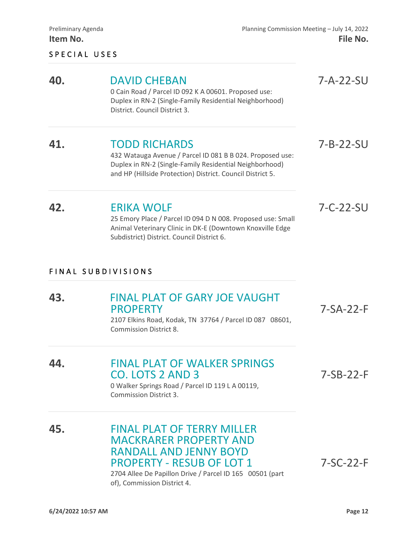#### SPECIAL USES

# **40.** DAVID CHEBAN <br>
0 Cain Road / Parcel ID 092 K A 00601. Proposed use: <br> **112.** The Section of Parcel ID 092 K A 00601. Proposed use:

Duplex in RN-2 (Single-Family Residential Neighborhood) District. Council District 3.

### **41.** [TODD RICHARDS](https://knoxplanning.org/cases/?filter=7-b-22-su) 7-B-22-SU

 432 Watauga Avenue / Parcel ID 081 B B 024. Proposed use: Duplex in RN-2 (Single-Family Residential Neighborhood) and HP (Hillside Protection) District. Council District 5.

### **42.** [ERIKA WOLF](https://knoxplanning.org/cases/?filter=7-C-22-SU) 7-C-22-SU

 25 Emory Place / Parcel ID 094 D N 008. Proposed use: Small Animal Veterinary Clinic in DK-E (Downtown Knoxville Edge Subdistrict) District. Council District 6.

#### F INAL SUBDIVISIONS

# **43.** FINAL PLAT OF GARY JOE VAUGHT<br>PROPERTY 7-SA-22-F<br>2107 Elkins Road, Kodak, TN 37764 / Parcel ID 087 08601, Commission District 8. **44.** [FINAL PLAT OF WALKER SPRINGS](https://knoxplanning.org/cases/?filter=7-SB-22-F)  CO. LOTS 2 AND 3 7-SB-22-F 0 Walker Springs Road / Parcel ID 119 L A 00119, Commission District 3. **45.** [FINAL PLAT OF TERRY MILLER](https://knoxplanning.org/cases/?filter=7-SC-22-F)  [MACKRARER PROPERTY AND](https://knoxplanning.org/cases/?filter=7-SC-22-F)  [RANDALL AND JENNY BOYD](https://knoxplanning.org/cases/?filter=7-SC-22-F)

PROPERTY - RESUB OF LOT 1 7-SC-22-F<br>2704 Allee De Papillon Drive / Parcel ID 165 00501 (part of), Commission District 4.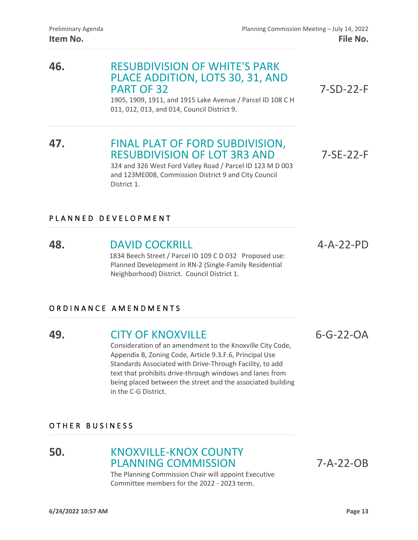# **46.** [RESUBDIVISION OF WHITE'S PARK](https://knoxplanning.org/cases/?filter=7-SD-22-F)  [PLACE ADDITION, LOTS 30, 31, AND](https://knoxplanning.org/cases/?filter=7-SD-22-F)  PART OF 32 7-SD-22-F<br>1905, 1909, 1911, and 1915 Lake Avenue / Parcel ID 108 C H

011, 012, 013, and 014, Council District 9.

# **47.** [FINAL PLAT OF FORD SUBDIVISION,](https://knoxplanning.org/cases/?filter=7-SE-22-F)  [RESUBDIVISION OF LOT 3R3 AND](https://knoxplanning.org/cases/?filter=7-SE-22-F) 7-SE-22-F<br>324 and 326 West Ford Valley Road / Parcel ID 123 M D 003

and 123ME008, Commission District 9 and City Council District 1.

#### PLANNED DEVELOPMENT

### **48.** [DAVID COCKRILL](https://knoxplanning.org/cases/?filter=4-A-22-PD) 4-A-22-PD

 1834 Beech Street / Parcel ID 109 C D 032 Proposed use: Planned Development in RN-2 (Single-Family Residential Neighborhood) District. Council District 1.

#### ORDINANCE AMENDMENTS

### **49. [CITY OF KNOXVILLE](https://knoxplanning.org/cases/?filter=6-G-22-OA)** 6-G-22-OA

 Consideration of an amendment to the Knoxville City Code, Appendix B, Zoning Code, Article 9.3.F.6, Principal Use Standards Associated with Drive-Through Facility, to add text that prohibits drive-through windows and lanes from being placed between the street and the associated building in the C-G District.

OTHER BUSINESS

#### **50.** [KNOXVILLE-KNOX COUNTY](https://knoxplanning.org/cases/?filter=7-A-22-OB)  [PLANNING COMMISSION](https://knoxplanning.org/cases/?filter=7-A-22-OB) 7-A-22-OB

 The Planning Commission Chair will appoint Executive Committee members for the 2022 - 2023 term.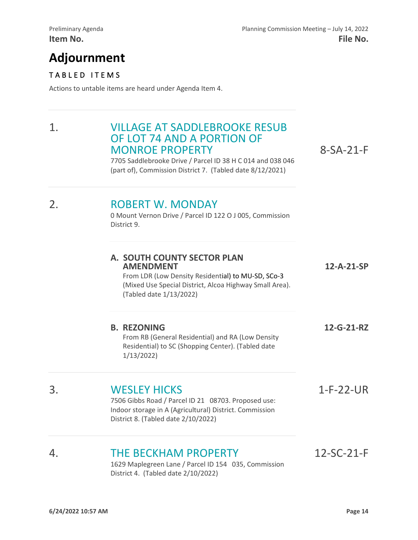# **Adjournment**

#### TABLED ITEMS

Actions to untable items are heard under Agenda Item 4.

# 1. [VILLAGE AT SADDLEBROOKE RESUB](https://knoxplanning.org/cases/?filter=8-SA-21-F)  OF [LOT 74 AND A PORTION OF](https://knoxplanning.org/cases/?filter=8-SA-21-F) MONROE PROPERTY MONROE PROPERTY 8-SA-21-F<br>
7705 Saddlebrooke Drive / Parcel ID 38 H C 014 and 038 046

(part of), Commission District 7. (Tabled date 8/12/2021)

# 2. ROBERT W. MONDAY<br>
0 Mount Vernon Drive / Parcel ID 122 O J 005, Commission

District 9.

|    | A. SOUTH COUNTY SECTOR PLAN<br><b>AMENDMENT</b><br>From LDR (Low Density Residential) to MU-SD, SCo-3<br>(Mixed Use Special District, Alcoa Highway Small Area).<br>(Tabled date 1/13/2022) | 12-A-21-SP  |
|----|---------------------------------------------------------------------------------------------------------------------------------------------------------------------------------------------|-------------|
|    | <b>B. REZONING</b><br>From RB (General Residential) and RA (Low Density<br>Residential) to SC (Shopping Center). (Tabled date<br>1/13/2022                                                  | 12-G-21-RZ  |
| 3. | <b>WESLEY HICKS</b><br>7506 Gibbs Road / Parcel ID 21 08703. Proposed use:<br>Indoor storage in A (Agricultural) District. Commission<br>District 8. (Tabled date 2/10/2022)                | $1-F-22-UR$ |

# 4. THE BECKHAM PROPERTY 12-SC-21-F<br>1629 Maplegreen Lane / Parcel ID 154 035, Commission

District 4. (Tabled date 2/10/2022)